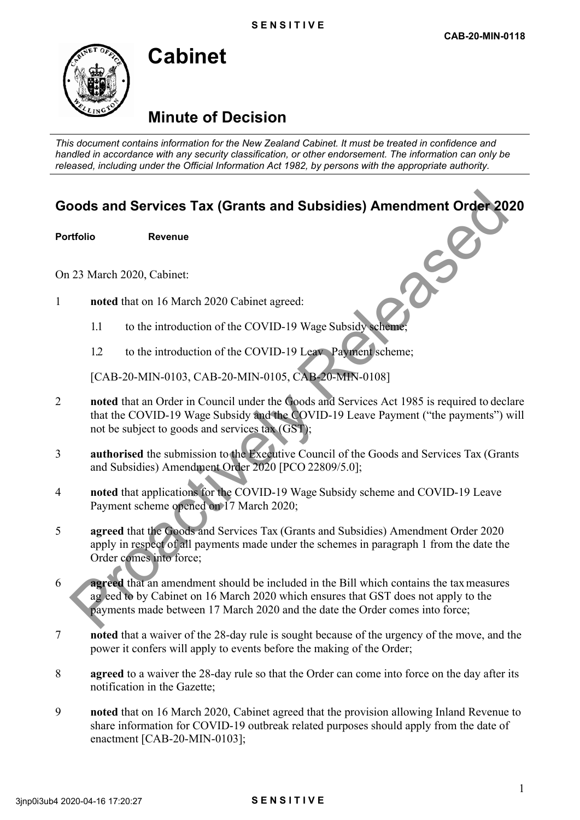# **Minute of Decision**

**Cabinet** 

*This document contains information for the New Zealand Cabinet. It must be treated in confidence and handled in accordance with any security classification, or other endorsement. The information can only be released, including under the Official Information Act 1982, by persons with the appropriate authority.*

## **Goods and Services Tax (Grants and Subsidies) Amendment Order 2020**

**Portfolio Revenue** 

On 23 March 2020, Cabinet:

- 1 **noted** that on 16 March 2020 Cabinet agreed:
	- 1.1 to the introduction of the COVID-19 Wage Subsidy scheme;
	- 1.2 to the introduction of the COVID-19 Leav Payment scheme;

[CAB-20-MIN-0103, CAB-20-MIN-0105, CAB-20-MIN-0108]

- 2 **noted** that an Order in Council under the Goods and Services Act 1985 is required to declare that the COVID-19 Wage Subsidy and the COVID-19 Leave Payment ("the payments") will not be subject to goods and services tax (GST);
- 3 **authorised** the submission to the Executive Council of the Goods and Services Tax (Grants and Subsidies) Amendment Order 2020 [PCO 22809/5.0];
- 4 **noted** that applications for the COVID-19 Wage Subsidy scheme and COVID-19 Leave Payment scheme opened on 17 March 2020;
- 5 **agreed** that the Goods and Services Tax (Grants and Subsidies) Amendment Order 2020 apply in respect of all payments made under the schemes in paragraph 1 from the date the Order comes into force;
- 6 **agreed** that an amendment should be included in the Bill which contains the tax measures ag eed to by Cabinet on 16 March 2020 which ensures that GST does not apply to the payments made between 17 March 2020 and the date the Order comes into force; **DOOLS and Services Tax (Grants and Subsidies) Amendment Order 201**<br>
The Revenue Revenue Revenue (Service Revenue)<br>
23 March 2020, Cabinet:<br>
11 to the introduction of the COVID-19 Wage Subsidive Channel,<br>
12 to the introd
- 7 **noted** that a waiver of the 28-day rule is sought because of the urgency of the move, and the power it confers will apply to events before the making of the Order;
- 8 **agreed** to a waiver the 28-day rule so that the Order can come into force on the day after its notification in the Gazette;
- 9 **noted** that on 16 March 2020, Cabinet agreed that the provision allowing Inland Revenue to share information for COVID-19 outbreak related purposes should apply from the date of enactment [CAB-20-MIN-0103];